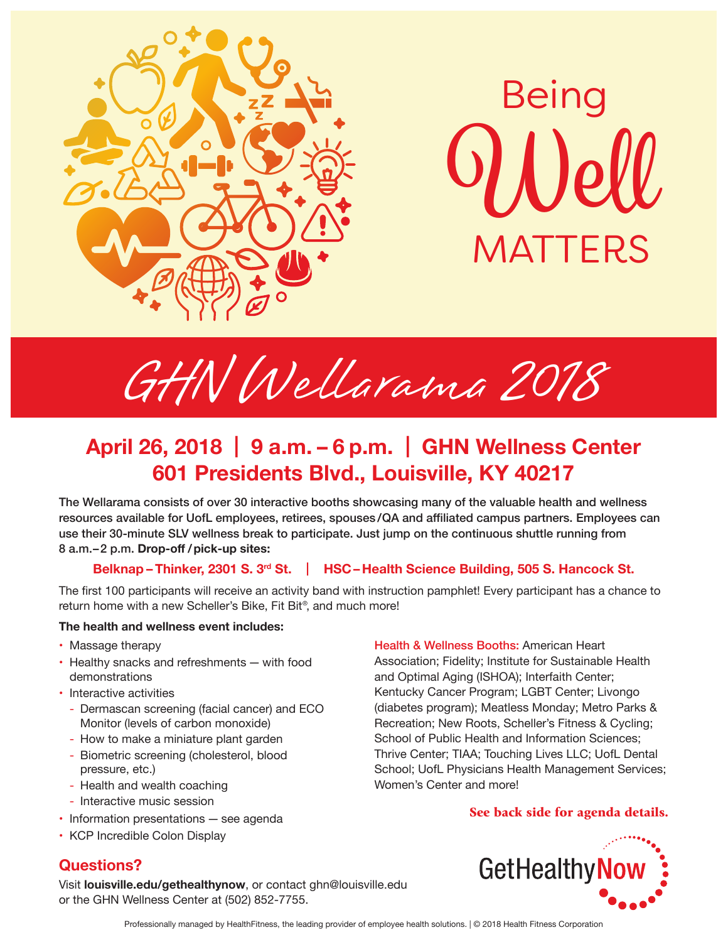



# HN I GHN Wellarama 2018

## April 26, 2018 | 9 a.m. - 6<br>601 Presidents Blv **April 26, 2018 | 9 a.m. – 6 p.m. | GHN Wellness Center 601 Presidents Blvd., Louisville, KY 40217**

The Wellarama consists of over 30 interactive booths showcasing many of the valuable health and wellness<br>The Wellarama consists of over 30 interactive booths showcasing many of the valuable health and wellness resources available for UofL employees, retirees, spouses /QA and affiliated campus partners. Employees can use their 30-minute SLV wellness break to participate. Just jump on the continuous shuttle running from 8 a.m.–2 p.m. **Drop-off / pick-up sites:** 

#### **Belknap – Thinker, 2301 S. 3rd St.** | **HSC – Health Science Building, 505 S. Hancock St.**

The first 100 participants will receive an activity band with instruction pamphlet! Every participant has a chance to return home with a new Scheller's Bike, Fit Bit® , and much more!

#### **The health and wellness event includes:**

- Massage therapy
- Healthy snacks and refreshments with food demonstrations
- Interactive activities
	- Dermascan screening (facial cancer) and ECO Monitor (levels of carbon monoxide)
	- How to make a miniature plant garden
	- Biometric screening (cholesterol, blood pressure, etc.)
	- Health and wealth coaching
	- Interactive music session
- Information presentations see agenda
- KCP Incredible Colon Display

#### **Questions?**

Visit **louisville.edu/gethealthynow**, or contact ghn@louisville.edu or the GHN Wellness Center at (502) 852-7755.

Health & Wellness Booths: American Heart Association; Fidelity; Institute for Sustainable Health and Optimal Aging (ISHOA); Interfaith Center; Kentucky Cancer Program; LGBT Center; Livongo (diabetes program); Meatless Monday; Metro Parks & Recreation; New Roots, Scheller's Fitness & Cycling; School of Public Health and Information Sciences; Thrive Center; TIAA; Touching Lives LLC; UofL Dental School; UofL Physicians Health Management Services; Women's Center and more!

#### See back side for agenda details.



Professionally managed by HealthFitness, the leading provider of employee health solutions. | © 2018 Health Fitness Corporation